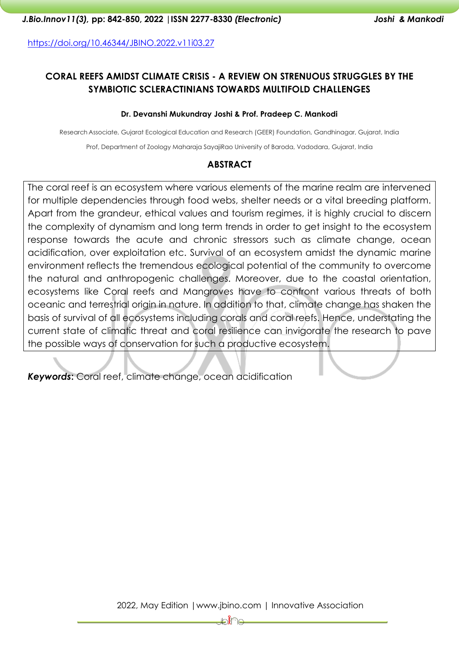<https://doi.org/10.46344/JBINO.2022.v11i03.27>

# **CORAL REEFS AMIDST CLIMATE CRISIS - A REVIEW ON STRENUOUS STRUGGLES BY THE SYMBIOTIC SCLERACTINIANS TOWARDS MULTIFOLD CHALLENGES**

#### **Dr. Devanshi Mukundray Joshi & Prof. Pradeep C. Mankodi**

Research Associate, Gujarat Ecological Education and Research (GEER) Foundation, Gandhinagar, Gujarat, India

Prof, Department of Zoology Maharaja SayajiRao University of Baroda, Vadodara, Gujarat, India

#### **ABSTRACT**

The coral reef is an ecosystem where various elements of the marine realm are intervened for multiple dependencies through food webs, shelter needs or a vital breeding platform. Apart from the grandeur, ethical values and tourism regimes, it is highly crucial to discern the complexity of dynamism and long term trends in order to get insight to the ecosystem response towards the acute and chronic stressors such as climate change, ocean acidification, over exploitation etc. Survival of an ecosystem amidst the dynamic marine environment reflects the tremendous ecological potential of the community to overcome the natural and anthropogenic challenges. Moreover, due to the coastal orientation, ecosystems like Coral reefs and Mangroves have to confront various threats of both oceanic and terrestrial origin in nature. In addition to that, climate change has shaken the basis of survival of all ecosystems including corals and coral reefs. Hence, understating the current state of climatic threat and coral resilience can invigorate the research to pave the possible ways of conservation for such a productive ecosystem.

*Keywords***:** Coral reef, climate change, ocean acidification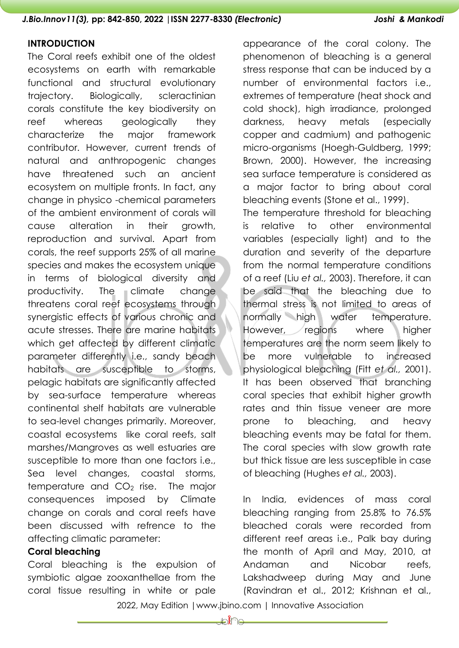#### **INTRODUCTION**

The Coral reefs exhibit one of the oldest ecosystems on earth with remarkable functional and structural evolutionary trajectory. Biologically, scleractinian corals constitute the key biodiversity on reef whereas geologically they characterize the major framework contributor. However, current trends of natural and anthropogenic changes have threatened such an ancient ecosystem on multiple fronts. In fact, any change in physico -chemical parameters of the ambient environment of corals will cause alteration in their growth, reproduction and survival. Apart from corals, the reef supports 25% of all marine species and makes the ecosystem unique in terms of biological diversity and productivity. The climate change threatens coral reef ecosystems through synergistic effects of various chronic and acute stresses. There are marine habitats which get affected by different climatic parameter differently i.e., sandy beach habitats are susceptible to storms, pelagic habitats are significantly affected by sea-surface temperature whereas continental shelf habitats are vulnerable to sea-level changes primarily. Moreover, coastal ecosystems like coral reefs, salt marshes/Mangroves as well estuaries are susceptible to more than one factors i.e., Sea level changes, coastal storms, temperature and  $CO<sub>2</sub>$  rise. The major consequences imposed by Climate change on corals and coral reefs have been discussed with refrence to the affecting climatic parameter:

### **Coral bleaching**

Coral bleaching is the expulsion of symbiotic algae zooxanthellae from the coral tissue resulting in white or pale appearance of the coral colony. The phenomenon of bleaching is a general stress response that can be induced by a number of environmental factors i.e., extremes of temperature (heat shock and cold shock), high irradiance, prolonged darkness, heavy metals (especially copper and cadmium) and pathogenic micro-organisms (Hoegh-Guldberg, 1999; Brown, 2000). However, the increasing sea surface temperature is considered as a major factor to bring about coral bleaching events (Stone et al., 1999).

The temperature threshold for bleaching is relative to other environmental variables (especially light) and to the duration and severity of the departure from the normal temperature conditions of a reef (Liu *et al.,* 2003). Therefore, it can be said that the bleaching due to thermal stress is not limited to areas of normally high water temperature. However, regions where higher temperatures are the norm seem likely to be more vulnerable to increased physiological bleaching (Fitt *et al.,* 2001). It has been observed that branching coral species that exhibit higher growth rates and thin tissue veneer are more prone to bleaching, and heavy bleaching events may be fatal for them. The coral species with slow growth rate but thick tissue are less susceptible in case of bleaching (Hughes *et al.,* 2003).

In India, evidences of mass coral bleaching ranging from 25.8% to 76.5% bleached corals were recorded from different reef areas i.e., Palk bay during the month of April and May, 2010, at Andaman and Nicobar reefs, Lakshadweep during May and June (Ravindran et al., 2012; Krishnan et al.,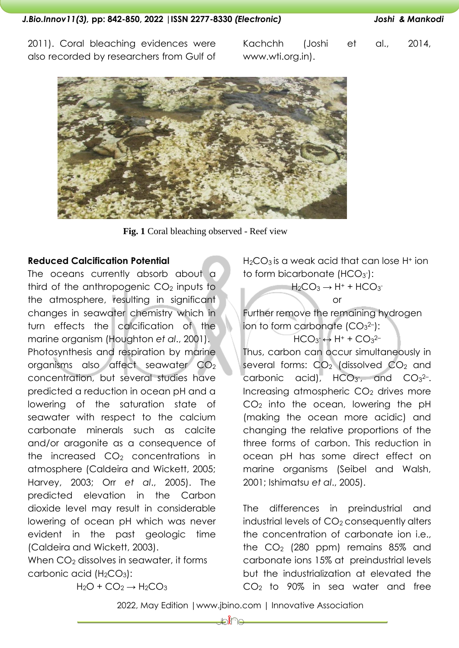2011). Coral bleaching evidences were also recorded by researchers from Gulf of

Kachchh (Joshi et al., 2014, www.wti.org.in).



**Fig. 1** Coral bleaching observed - Reef view

### **Reduced Calcification Potential**

The oceans currently absorb about a third of the anthropogenic  $CO<sub>2</sub>$  inputs to the atmosphere, resulting in significant changes in seawater chemistry which in turn effects the calcification of the marine organism (Houghton *et al*., 2001). Photosynthesis and respiration by marine organisms also affect seawater CO<sup>2</sup> concentration, but several studies have predicted a reduction in ocean pH and a lowering of the saturation state of seawater with respect to the calcium carbonate minerals such as calcite and/or aragonite as a consequence of the increased  $CO<sub>2</sub>$  concentrations in atmosphere (Caldeira and Wickett, 2005; Harvey, 2003; Orr *et al*., 2005). The predicted elevation in the Carbon dioxide level may result in considerable lowering of ocean pH which was never evident in the past geologic time (Caldeira and Wickett, 2003).

When  $CO<sub>2</sub>$  dissolves in seawater, it forms carbonic acid  $(H_2CO_3)$ :

 $H_2O + CO_2 \rightarrow H_2CO_3$ 

 $H_2CO_3$  is a weak acid that can lose  $H^+$  ion to form bicarbonate (HCO<sub>3</sub>-):

 $H_2CO_3 \rightarrow H^+ + HCO_3$ or Further remove the remaining hydrogen ion to form carbonate  $(CO<sub>3</sub><sup>2-</sup>)$ :

 $HCO<sub>3</sub> \leftrightarrow H<sup>+</sup> + CO<sub>3</sub>$ <sup>2-</sup> Thus, carbon can occur simultaneously in several forms:  $CO<sub>2</sub>$  (dissolved  $CO<sub>2</sub>$  and carbonic acid),  $HCO<sub>3</sub>$ , and  $CO<sub>3</sub>^{2}$ Increasing atmospheric  $CO<sub>2</sub>$  drives more  $CO<sub>2</sub>$  into the ocean, lowering the pH (making the ocean more acidic) and changing the relative proportions of the three forms of carbon. This reduction in ocean pH has some direct effect on marine organisms (Seibel and Walsh, 2001; Ishimatsu *et al*., 2005).

The differences in preindustrial and industrial levels of CO<sub>2</sub> consequently alters the concentration of carbonate ion i.e., the  $CO<sub>2</sub>$  (280 ppm) remains 85% and carbonate ions 15% at preindustrial levels but the industrialization at elevated the CO<sub>2</sub> to 90% in sea water and free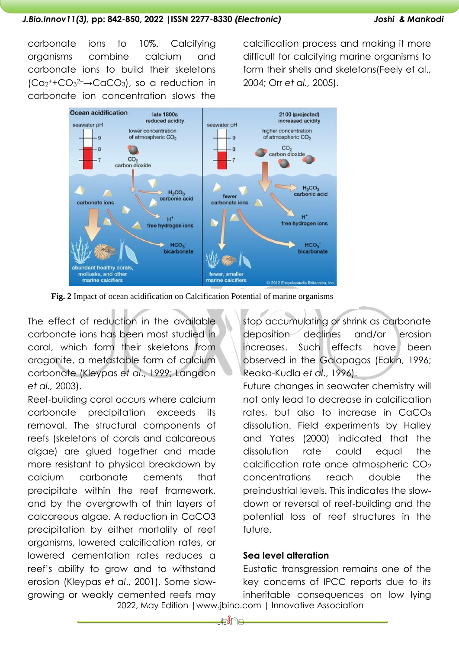### *J.Bio.Innov11(3),* **pp: 842-850, 2022 |ISSN 2277-8330** *(Electronic) Joshi & Mankodi*

carbonate ions to 10%. Calcifying organisms combine calcium and carbonate ions to build their skeletons  $(Ca<sub>2</sub><sup>+</sup>+CO<sub>3</sub><sup>2-</sup> \rightarrow CaCO<sub>3</sub>)$ , so a reduction in carbonate ion concentration slows the

calcification process and making it more difficult for calcifying marine organisms to form their shells and skeletons(Feely et al., 2004; Orr *et al.,* 2005).



**Fig. 2** Impact of ocean acidification on Calcification Potential of marine organisms

The effect of reduction in the available carbonate ions has been most studied in coral, which form their skeletons from aragonite, a metastable form of calcium carbonate (Kleypas *et al*., 1999; Langdon *et al.,* 2003).

Reef-building coral occurs where calcium carbonate precipitation exceeds its removal. The structural components of reefs (skeletons of corals and calcareous algae) are glued together and made more resistant to physical breakdown by calcium carbonate cements that precipitate within the reef framework, and by the overgrowth of thin layers of calcareous algae. A reduction in CaCO3 precipitation by either mortality of reef organisms, lowered calcification rates, or lowered cementation rates reduces a reef's ability to grow and to withstand erosion (Kleypas *et al*., 2001). Some slowgrowing or weakly cemented reefs may stop accumulating or shrink as carbonate deposition declines and/or erosion increases. Such effects have been observed in the Galapagos (Eakin, 1996; Reaka-Kudla *et al*., 1996).

Future changes in seawater chemistry will not only lead to decrease in calcification rates, but also to increase in  $CaCO<sub>3</sub>$ dissolution. Field experiments by Halley and Yates (2000) indicated that the dissolution rate could equal the calcification rate once atmospheric CO<sub>2</sub> concentrations reach double the preindustrial levels. This indicates the slowdown or reversal of reef-building and the potential loss of reef structures in the future.

# **Sea level alteration**

 2022, May Edition |www.jbino.com | Innovative Association Eustatic transgression remains one of the key concerns of IPCC reports due to its inheritable consequences on low lying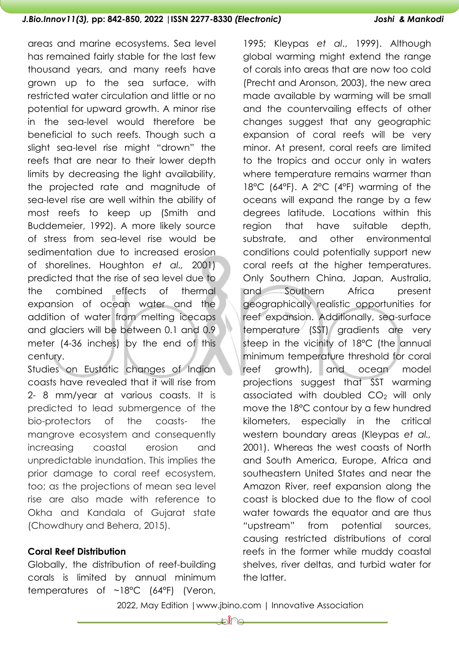#### *J.Bio.Innov11(3),* **pp: 842-850, 2022 |ISSN 2277-8330** *(Electronic) Joshi & Mankodi*

areas and marine ecosystems. Sea level has remained fairly stable for the last few thousand years, and many reefs have grown up to the sea surface, with restricted water circulation and little or no potential for upward growth. A minor rise in the sea-level would therefore be beneficial to such reefs. Though such a slight sea-level rise might "drown" the reefs that are near to their lower depth limits by decreasing the light availability, the projected rate and magnitude of sea-level rise are well within the ability of most reefs to keep up (Smith and Buddemeier, 1992). A more likely source of stress from sea-level rise would be sedimentation due to increased erosion of shorelines. Houghton *et al.,* 2001) predicted that the rise of sea level due to the combined effects of thermal expansion of ocean water and the addition of water from melting icecaps and glaciers will be between 0.1 and 0.9 meter (4-36 inches) by the end of this century.

Studies on Eustatic changes of Indian coasts have revealed that it will rise from 2- 8 mm/year at various coasts. It is predicted to lead submergence of the bio-protectors of the coasts- the mangrove ecosystem and consequently increasing coastal erosion and unpredictable inundation. This implies the prior damage to coral reef ecosystem, too; as the projections of mean sea level rise are also made with reference to Okha and Kandala of Gujarat state (Chowdhury and Behera, 2015).

## **Coral Reef Distribution**

Globally, the distribution of reef-building corals is limited by annual minimum temperatures of ~18°C (64°F) (Veron,

1995; Kleypas *et al*., 1999). Although global warming might extend the range of corals into areas that are now too cold (Precht and Aronson, 2003), the new area made available by warming will be small and the countervailing effects of other changes suggest that any geographic expansion of coral reefs will be very minor. At present, coral reefs are limited to the tropics and occur only in waters where temperature remains warmer than 18°C (64°F). A 2°C (4°F) warming of the oceans will expand the range by a few degrees latitude. Locations within this region that have suitable depth, substrate, and other environmental conditions could potentially support new coral reefs at the higher temperatures. Only Southern China, Japan, Australia, and Southern Africa present geographically realistic opportunities for reef expansion. Additionally, sea-surface temperature (SST) gradients are very steep in the vicinity of 18°C (the annual minimum temperature threshold for coral reef growth), and ocean model projections suggest that SST warming associated with doubled  $CO<sub>2</sub>$  will only move the 18°C contour by a few hundred kilometers, especially in the critical western boundary areas (Kleypas *et al.,* 2001). Whereas the west coasts of North and South America, Europe, Africa and southeastern United States and near the Amazon River, reef expansion along the coast is blocked due to the flow of cool water towards the equator and are thus "upstream" from potential sources, causing restricted distributions of coral reefs in the former while muddy coastal shelves, river deltas, and turbid water for the latter.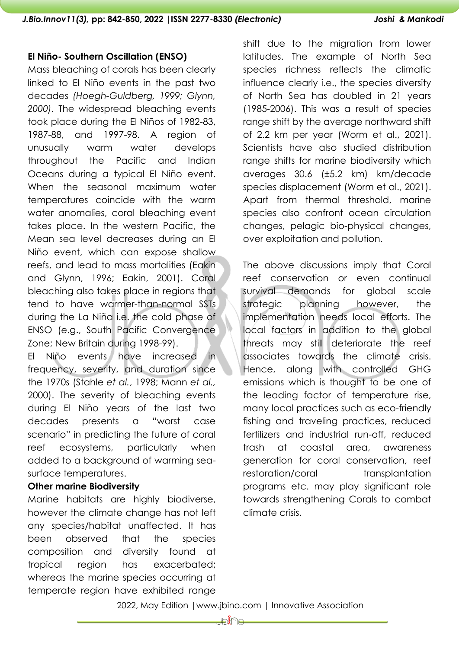#### **El Niño- Southern Oscillation (ENSO)**

Mass bleaching of corals has been clearly linked to El Niño events in the past two decades *(Hoegh-Guldberg, 1999; Glynn, 2000).* The widespread bleaching events took place during the El Niños of 1982-83, 1987-88, and 1997-98. A region of unusually warm water develops throughout the Pacific and Indian Oceans during a typical El Niño event. When the seasonal maximum water temperatures coincide with the warm water anomalies, coral bleaching event takes place. In the western Pacific, the Mean sea level decreases during an El Niño event, which can expose shallow reefs, and lead to mass mortalities (Eakin and Glynn, 1996; Eakin, 2001). Coral bleaching also takes place in regions that tend to have warmer-than-normal SSTs during the La Niña i.e. the cold phase of ENSO (e.g., South Pacific Convergence Zone; New Britain during 1998-99).

El Niño events have increased in frequency, severity, and duration since the 1970s (Stahle *et al.*, 1998; Mann *et al.,* 2000). The severity of bleaching events during El Niño years of the last two decades presents a "worst case scenario" in predicting the future of coral reef ecosystems, particularly when added to a background of warming seasurface temperatures.

#### **Other marine Biodiversity**

Marine habitats are highly biodiverse, however the climate change has not left any species/habitat unaffected. It has been observed that the species composition and diversity found at tropical region has exacerbated; whereas the marine species occurring at temperate region have exhibited range

shift due to the migration from lower latitudes. The example of North Sea species richness reflects the climatic influence clearly i.e., the species diversity of North Sea has doubled in 21 years (1985-2006). This was a result of species range shift by the average northward shift of 2.2 km per year (Worm et al., 2021). Scientists have also studied distribution range shifts for marine biodiversity which averages 30.6 (±5.2 km) km/decade species displacement (Worm et al., 2021). Apart from thermal threshold, marine species also confront ocean circulation changes, pelagic bio-physical changes, over exploitation and pollution.

The above discussions imply that Coral reef conservation or even continual survival demands for global scale strategic planning however, the implementation needs local efforts. The local factors in addition to the global threats may still deteriorate the reef associates towards the climate crisis. Hence, along with controlled GHG emissions which is thought to be one of the leading factor of temperature rise, many local practices such as eco-friendly fishing and traveling practices, reduced fertilizers and industrial run-off, reduced trash at coastal area, awareness generation for coral conservation, reef restoration/coral transplantation programs etc. may play significant role towards strengthening Corals to combat climate crisis.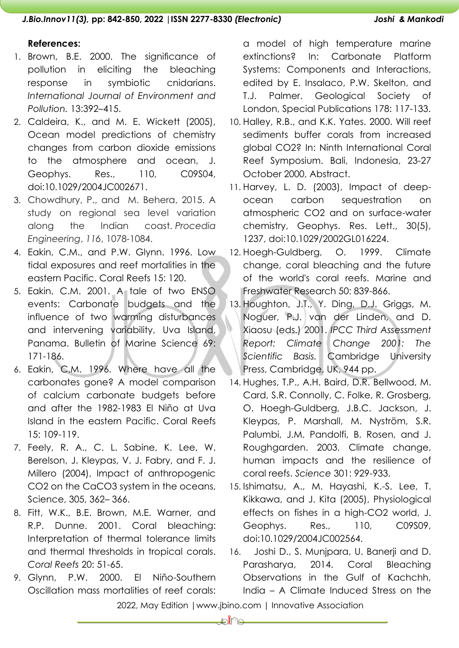## *J.Bio.Innov11(3),* **pp: 842-850, 2022 |ISSN 2277-8330** *(Electronic) Joshi & Mankodi*

#### **References:**

- 1. Brown, B.E. 2000. The significance of pollution in eliciting the bleaching response in symbiotic cnidarians. *International Journal of Environment and Pollution.* 13:392–415.
- 2. Caldeira, K., and M. E. Wickett (2005), Ocean model predictions of chemistry changes from carbon dioxide emissions to the atmosphere and ocean, J. Geophys. Res., 110, C09S04, doi:10.1029/2004JC002671.
- 3. Chowdhury, P., and M. Behera, 2015. A study on regional sea level variation along the Indian coast. *Procedia Engineering*, *116*, 1078-1084.
- 4. Eakin, C.M., and P.W. Glynn. 1996. Low tidal exposures and reef mortalities in the eastern Pacific. Coral Reefs 15: 120.
- 5. Eakin, C.M. 2001. A tale of two ENSO events: Carbonate budgets and the influence of two warming disturbances and intervening variability, Uva Island, Panama. Bulletin of Marine Science 69: 171-186.
- 6. Eakin, C.M. 1996. Where have all the carbonates gone? A model comparison of calcium carbonate budgets before and after the 1982-1983 El Niño at Uva Island in the eastern Pacific. Coral Reefs 15: 109-119.
- 7. Feely, R. A., C. L. Sabine, K. Lee, W. Berelson, J. Kleypas, V. J. Fabry, and F. J. Millero (2004), Impact of anthropogenic CO2 on the CaCO3 system in the oceans, Science, 305, 362– 366.
- 8. Fitt, W.K., B.E. Brown, M.E. Warner, and R.P. Dunne. 2001. Coral bleaching: Interpretation of thermal tolerance limits and thermal thresholds in tropical corals. *Coral Reefs* 20: 51-65.
- 9. Glynn, P.W. 2000. El Niño-Southern Oscillation mass mortalities of reef corals:

a model of high temperature marine extinctions? In: Carbonate Platform Systems: Components and Interactions, edited by E. Insalaco, P.W. Skelton, and T.J. Palmer. Geological Society of London, Special Publications 178: 117-133.

- 10. Halley, R.B., and K.K. Yates. 2000. Will reef sediments buffer corals from increased global CO2? In: Ninth International Coral Reef Symposium. Bali, Indonesia, 23-27 October 2000, Abstract.
- 11. Harvey, L. D. (2003), Impact of deepocean carbon sequestration on atmospheric CO2 and on surface-water chemistry, Geophys. Res. Lett., 30(5), 1237, doi:10.1029/2002GL016224.
- 12. Hoegh-Guldberg, O. 1999. Climate change, coral bleaching and the future of the world's coral reefs. Marine and Freshwater Research 50: 839-866.
- 13. Houghton, J.T., Y. Ding, D.J. Griggs, M. Noguer, P.J. van der Linden, and D. Xiaosu (eds.) 2001. *IPCC Third Assessment Report: Climate Change 2001: The Scientific Basis.* Cambridge University Press, Cambridge, UK, 944 pp.
- 14. Hughes, T.P., A.H. Baird, D.R. Bellwood, M. Card, S.R. Connolly, C. Folke, R. Grosberg, O. Hoegh-Guldberg, J.B.C. Jackson, J. Kleypas, P. Marshall, M. Nyström, S.R. Palumbi, J.M. Pandolfi, B. Rosen, and J. Roughgarden. 2003. Climate change, human impacts and the resilience of coral reefs. *Science* 301: 929-933.
- 15. Ishimatsu, A., M. Hayashi, K.-S. Lee, T. Kikkawa, and J. Kita (2005), Physiological effects on fishes in a high-CO2 world, J. Geophys. Res., 110, C09S09, doi:10.1029/2004JC002564.
- 16. Joshi D., S. Munjpara, U. Banerji and D. Parasharya, 2014. Coral Bleaching Observations in the Gulf of Kachchh, India – A Climate Induced Stress on the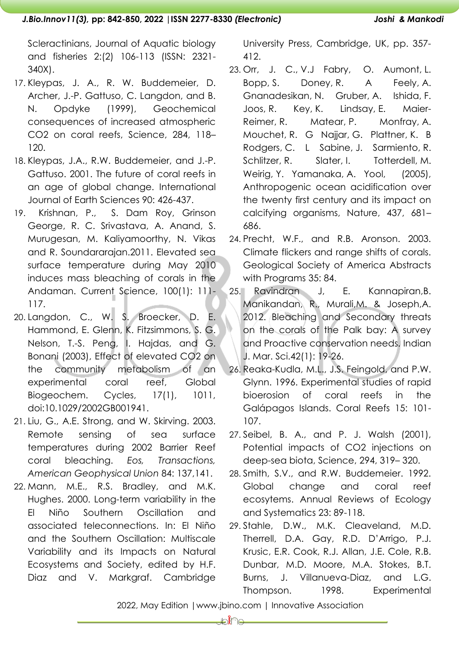Scleractinians, Journal of Aquatic biology and fisheries 2:(2) 106-113 (ISSN: 2321- 340X).

- 17. Kleypas, J. A., R. W. Buddemeier, D. Archer, J.-P. Gattuso, C. Langdon, and B. N. Opdyke (1999), Geochemical consequences of increased atmospheric CO2 on coral reefs, Science, 284, 118– 120.
- 18. Kleypas, J.A., R.W. Buddemeier, and J.-P. Gattuso. 2001. The future of coral reefs in an age of global change. International Journal of Earth Sciences 90: 426-437.
- 19. Krishnan, P., S. Dam Roy, Grinson George, R. C. Srivastava, A. Anand, S. Murugesan, M. Kaliyamoorthy, N. Vikas and R. Soundararajan.2011. Elevated sea surface temperature during May 2010 induces mass bleaching of corals in the Andaman. Current Science, 100(1): 111- 117.
- 20. Langdon, C., W. S. Broecker, D. E. Hammond, E. Glenn, K. Fitzsimmons, S. G. Nelson, T.-S. Peng, I. Hajdas, and G. Bonani (2003), Effect of elevated CO2 on the community metabolism of an experimental coral reef, Global Biogeochem. Cycles, 17(1), 1011, doi:10.1029/2002GB001941.
- 21. Liu, G., A.E. Strong, and W. Skirving. 2003. Remote sensing of sea surface temperatures during 2002 Barrier Reef coral bleaching. *Eos, Transactions, American Geophysical Union* 84: 137,141.
- 22. Mann, M.E., R.S. Bradley, and M.K. Hughes. 2000. Long-term variability in the El Niño Southern Oscillation and associated teleconnections. In: El Niño and the Southern Oscillation: Multiscale Variability and its Impacts on Natural Ecosystems and Society, edited by H.F. Diaz and V. Markgraf. Cambridge

University Press, Cambridge, UK, pp. 357- 412.

- 23. Orr, J. C., V.J Fabry, O. Aumont, L. Bopp, S. Doney, R. A Feely, A. Gnanadesikan, N. Gruber, A. Ishida, F. Joos, R. Key, K. Lindsay, E. Maier-Reimer, R. Matear, P. Monfray, A. Mouchet, R. G Najjar, G. Plattner, K. B Rodgers, C. L Sabine, J. Sarmiento, R. Schlitzer, R. Slater, I. Totterdell, M. Weirig, Y. Yamanaka, A. Yool, (2005), Anthropogenic ocean acidification over the twenty first century and its impact on calcifying organisms, Nature, 437, 681– 686.
- 24. Precht, W.F., and R.B. Aronson. 2003. Climate flickers and range shifts of corals. Geological Society of America Abstracts with Programs 35: 84.
- 25. Ravindran J, E. Kannapiran,B. Manikandan, R., Murali,M. & Joseph,A. 2012. Bleaching and Secondary threats on the corals of the Palk bay: A survey and Proactive conservation needs. Indian J. Mar. Sci.42(1): 19-26.
- 26. Reaka-Kudla, M.L., J.S. Feingold, and P.W. Glynn. 1996. Experimental studies of rapid bioerosion of coral reefs in the Galápagos Islands. Coral Reefs 15: 101- 107.
- 27. Seibel, B. A., and P. J. Walsh (2001), Potential impacts of CO2 injections on deep-sea biota, Science, 294, 319– 320.
- 28. Smith, S.V., and R.W. Buddemeier. 1992. Global change and coral reef ecosytems. Annual Reviews of Ecology and Systematics 23: 89-118.
- 29. Stahle, D.W., M.K. Cleaveland, M.D. Therrell, D.A. Gay, R.D. D'Arrigo, P.J. Krusic, E.R. Cook, R.J. Allan, J.E. Cole, R.B. Dunbar, M.D. Moore, M.A. Stokes, B.T. Burns, J. Villanueva-Diaz, and L.G. Thompson. 1998. Experimental